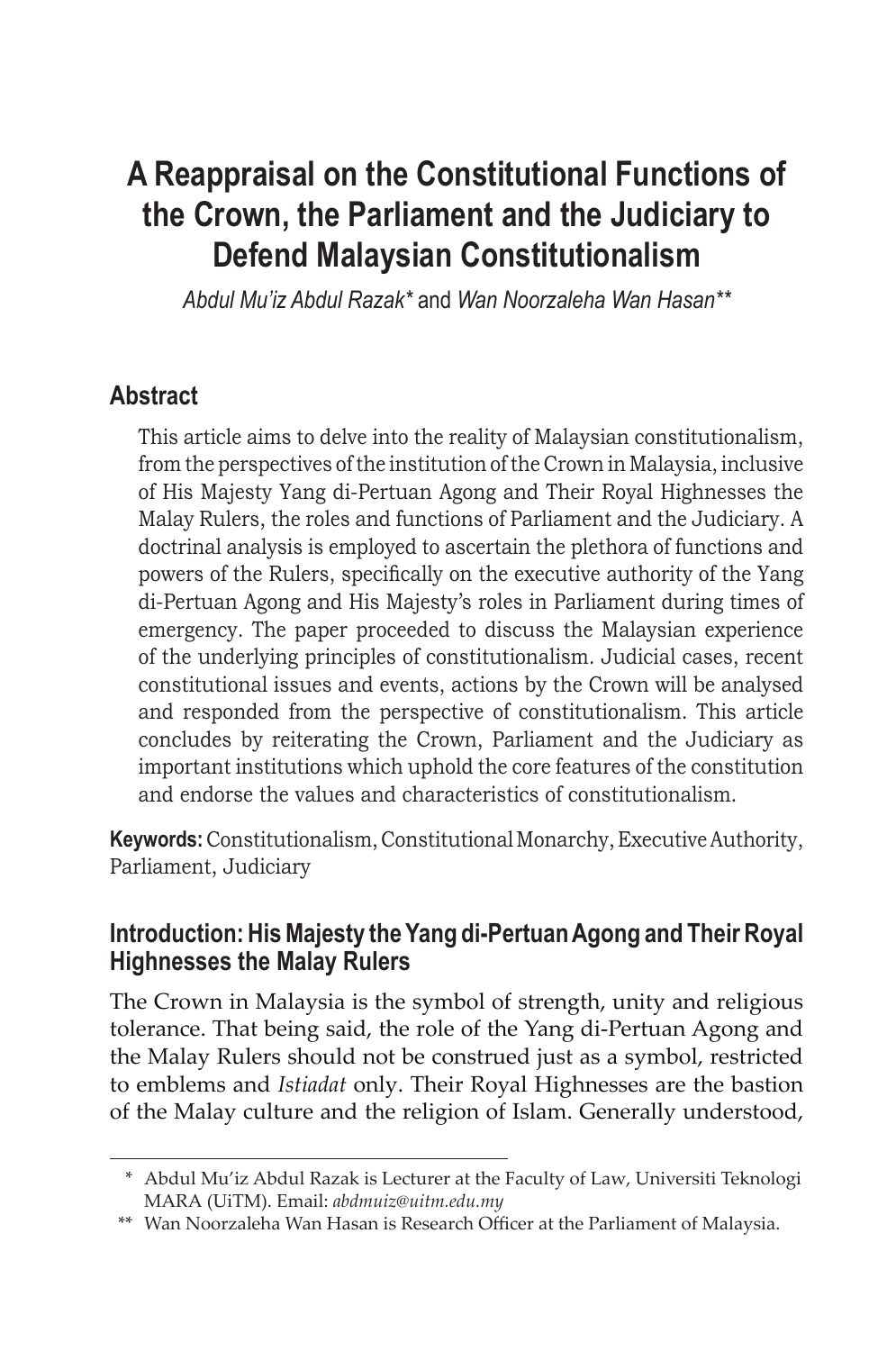# **A Reappraisal on the Constitutional Functions of the Crown, the Parliament and the Judiciary to Defend Malaysian Constitutionalism**

*Abdul Mu'iz Abdul Razak\** and *Wan Noorzaleha Wan Hasan\*\**

### **Abstract**

This article aims to delve into the reality of Malaysian constitutionalism, from the perspectives of the institution of the Crown in Malaysia, inclusive of His Majesty Yang di-Pertuan Agong and Their Royal Highnesses the Malay Rulers, the roles and functions of Parliament and the Judiciary. A doctrinal analysis is employed to ascertain the plethora of functions and powers of the Rulers, specifically on the executive authority of the Yang di-Pertuan Agong and His Majesty's roles in Parliament during times of emergency. The paper proceeded to discuss the Malaysian experience of the underlying principles of constitutionalism. Judicial cases, recent constitutional issues and events, actions by the Crown will be analysed and responded from the perspective of constitutionalism. This article concludes by reiterating the Crown, Parliament and the Judiciary as important institutions which uphold the core features of the constitution and endorse the values and characteristics of constitutionalism.

**Keywords:** Constitutionalism, Constitutional Monarchy, Executive Authority, Parliament, Judiciary

### **Introduction: His Majesty the Yang di-Pertuan Agong and Their Royal Highnesses the Malay Rulers**

The Crown in Malaysia is the symbol of strength, unity and religious tolerance. That being said, the role of the Yang di-Pertuan Agong and the Malay Rulers should not be construed just as a symbol, restricted to emblems and *Istiadat* only. Their Royal Highnesses are the bastion of the Malay culture and the religion of Islam. Generally understood,

<sup>\*</sup> Abdul Mu'iz Abdul Razak is Lecturer at the Faculty of Law, Universiti Teknologi MARA (UiTM). Email: *abdmuiz@uitm.edu.my*

<sup>\*\*</sup> Wan Noorzaleha Wan Hasan is Research Officer at the Parliament of Malaysia.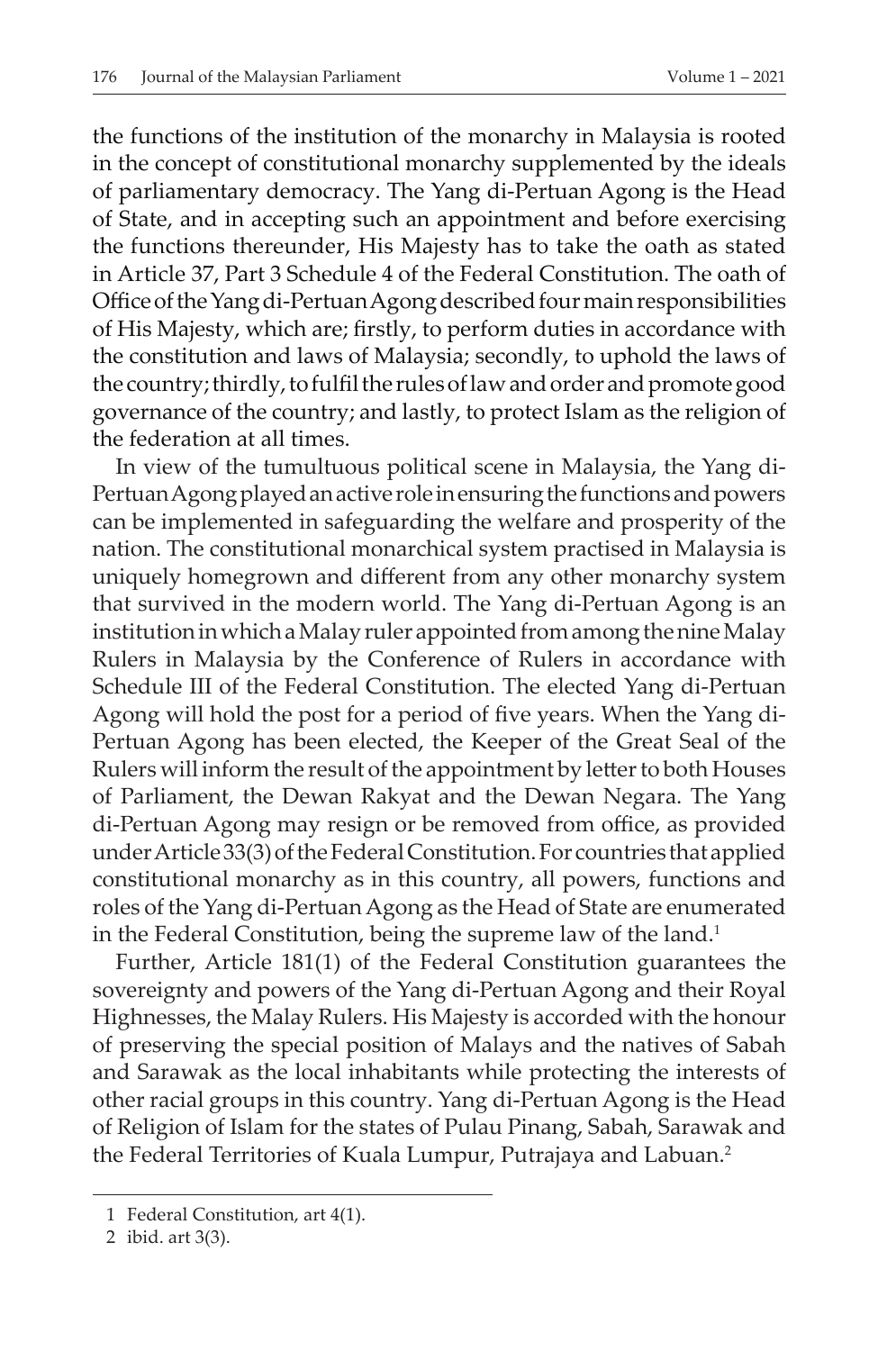the functions of the institution of the monarchy in Malaysia is rooted in the concept of constitutional monarchy supplemented by the ideals of parliamentary democracy. The Yang di-Pertuan Agong is the Head of State, and in accepting such an appointment and before exercising the functions thereunder, His Majesty has to take the oath as stated in Article 37, Part 3 Schedule 4 of the Federal Constitution. The oath of Office of the Yang di-Pertuan Agong described four main responsibilities of His Majesty, which are; firstly, to perform duties in accordance with the constitution and laws of Malaysia; secondly, to uphold the laws of the country; thirdly, to fulfil the rules of law and order and promote good governance of the country; and lastly, to protect Islam as the religion of the federation at all times.

In view of the tumultuous political scene in Malaysia, the Yang di-Pertuan Agong played an active role in ensuring the functions and powers can be implemented in safeguarding the welfare and prosperity of the nation. The constitutional monarchical system practised in Malaysia is uniquely homegrown and different from any other monarchy system that survived in the modern world. The Yang di-Pertuan Agong is an institution in which a Malay ruler appointed from among the nine Malay Rulers in Malaysia by the Conference of Rulers in accordance with Schedule III of the Federal Constitution. The elected Yang di-Pertuan Agong will hold the post for a period of five years. When the Yang di-Pertuan Agong has been elected, the Keeper of the Great Seal of the Rulers will inform the result of the appointment by letter to both Houses of Parliament, the Dewan Rakyat and the Dewan Negara. The Yang di-Pertuan Agong may resign or be removed from office, as provided under Article 33(3) of the Federal Constitution. For countries that applied constitutional monarchy as in this country, all powers, functions and roles of the Yang di-Pertuan Agong as the Head of State are enumerated in the Federal Constitution, being the supreme law of the land.<sup>1</sup>

Further, Article 181(1) of the Federal Constitution guarantees the sovereignty and powers of the Yang di-Pertuan Agong and their Royal Highnesses, the Malay Rulers. His Majesty is accorded with the honour of preserving the special position of Malays and the natives of Sabah and Sarawak as the local inhabitants while protecting the interests of other racial groups in this country. Yang di-Pertuan Agong is the Head of Religion of Islam for the states of Pulau Pinang, Sabah, Sarawak and the Federal Territories of Kuala Lumpur, Putrajaya and Labuan.<sup>2</sup>

<sup>1</sup> Federal Constitution, art 4(1).

<sup>2</sup> ibid. art 3(3).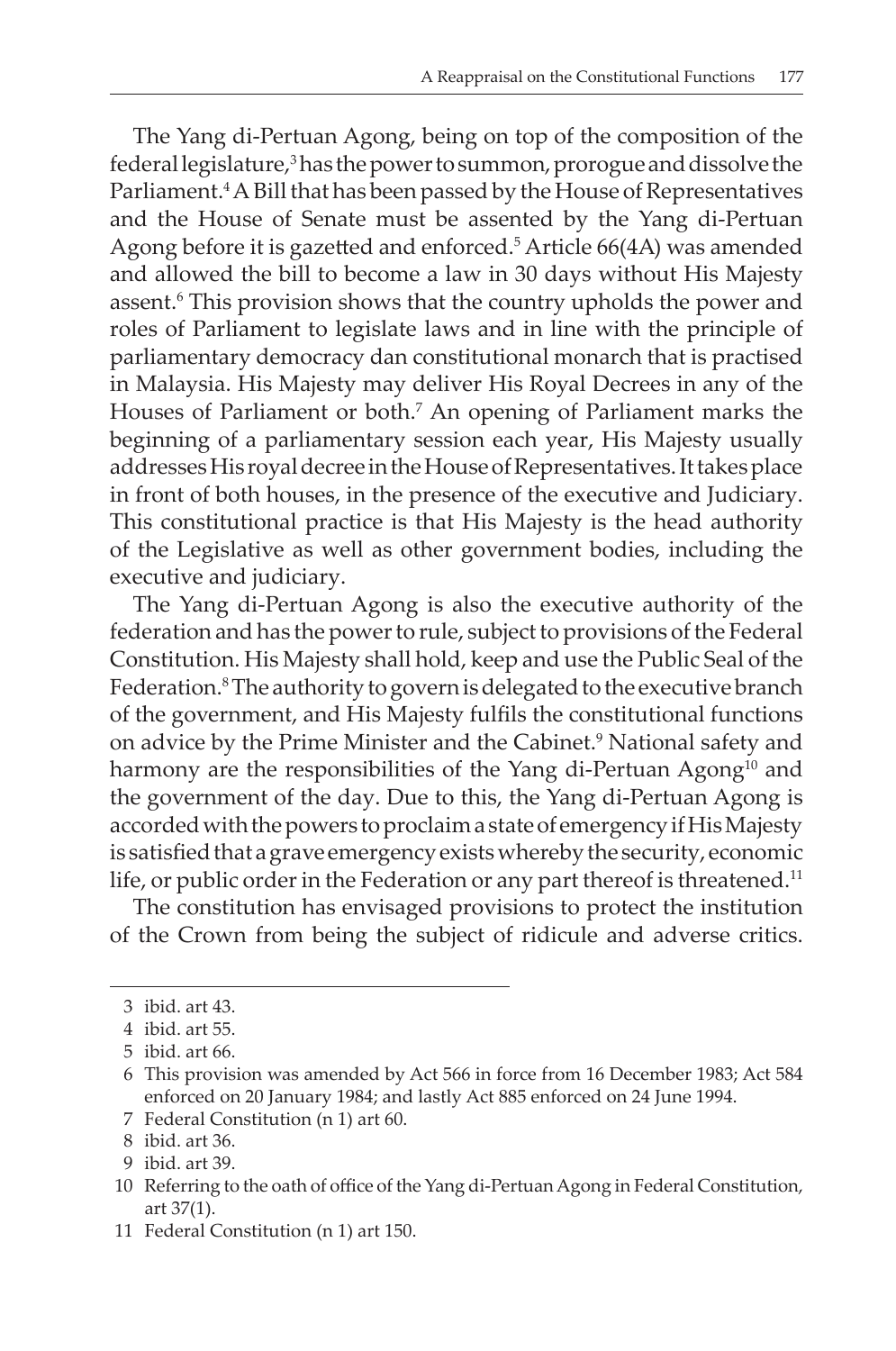The Yang di-Pertuan Agong, being on top of the composition of the federal legislature,<sup>3</sup> has the power to summon, prorogue and dissolve the Parliament.4 A Bill that has been passed by the House of Representatives and the House of Senate must be assented by the Yang di-Pertuan Agong before it is gazetted and enforced.<sup>5</sup> Article 66(4A) was amended and allowed the bill to become a law in 30 days without His Majesty assent.<sup>6</sup> This provision shows that the country upholds the power and roles of Parliament to legislate laws and in line with the principle of parliamentary democracy dan constitutional monarch that is practised in Malaysia. His Majesty may deliver His Royal Decrees in any of the Houses of Parliament or both.7 An opening of Parliament marks the beginning of a parliamentary session each year, His Majesty usually addresses His royal decree in the House of Representatives. It takes place in front of both houses, in the presence of the executive and Judiciary. This constitutional practice is that His Majesty is the head authority of the Legislative as well as other government bodies, including the executive and judiciary.

The Yang di-Pertuan Agong is also the executive authority of the federation and has the power to rule, subject to provisions of the Federal Constitution. His Majesty shall hold, keep and use the Public Seal of the Federation.<sup>8</sup> The authority to govern is delegated to the executive branch of the government, and His Majesty fulfils the constitutional functions on advice by the Prime Minister and the Cabinet.9 National safety and harmony are the responsibilities of the Yang di-Pertuan Agong<sup>10</sup> and the government of the day. Due to this, the Yang di-Pertuan Agong is accorded with the powers to proclaim a state of emergency if His Majesty is satisfied that a grave emergency exists whereby the security, economic life, or public order in the Federation or any part thereof is threatened.<sup>11</sup>

The constitution has envisaged provisions to protect the institution of the Crown from being the subject of ridicule and adverse critics.

<sup>3</sup> ibid. art 43.

<sup>4</sup> ibid. art 55.

<sup>5</sup> ibid. art 66.

<sup>6</sup> This provision was amended by Act 566 in force from 16 December 1983; Act 584 enforced on 20 January 1984; and lastly Act 885 enforced on 24 June 1994.

<sup>7</sup> Federal Constitution (n 1) art 60.

<sup>8</sup> ibid. art 36.

<sup>9</sup> ibid. art 39.

<sup>10</sup> Referring to the oath of office of the Yang di-Pertuan Agong in Federal Constitution, art 37(1).

<sup>11</sup> Federal Constitution (n 1) art 150.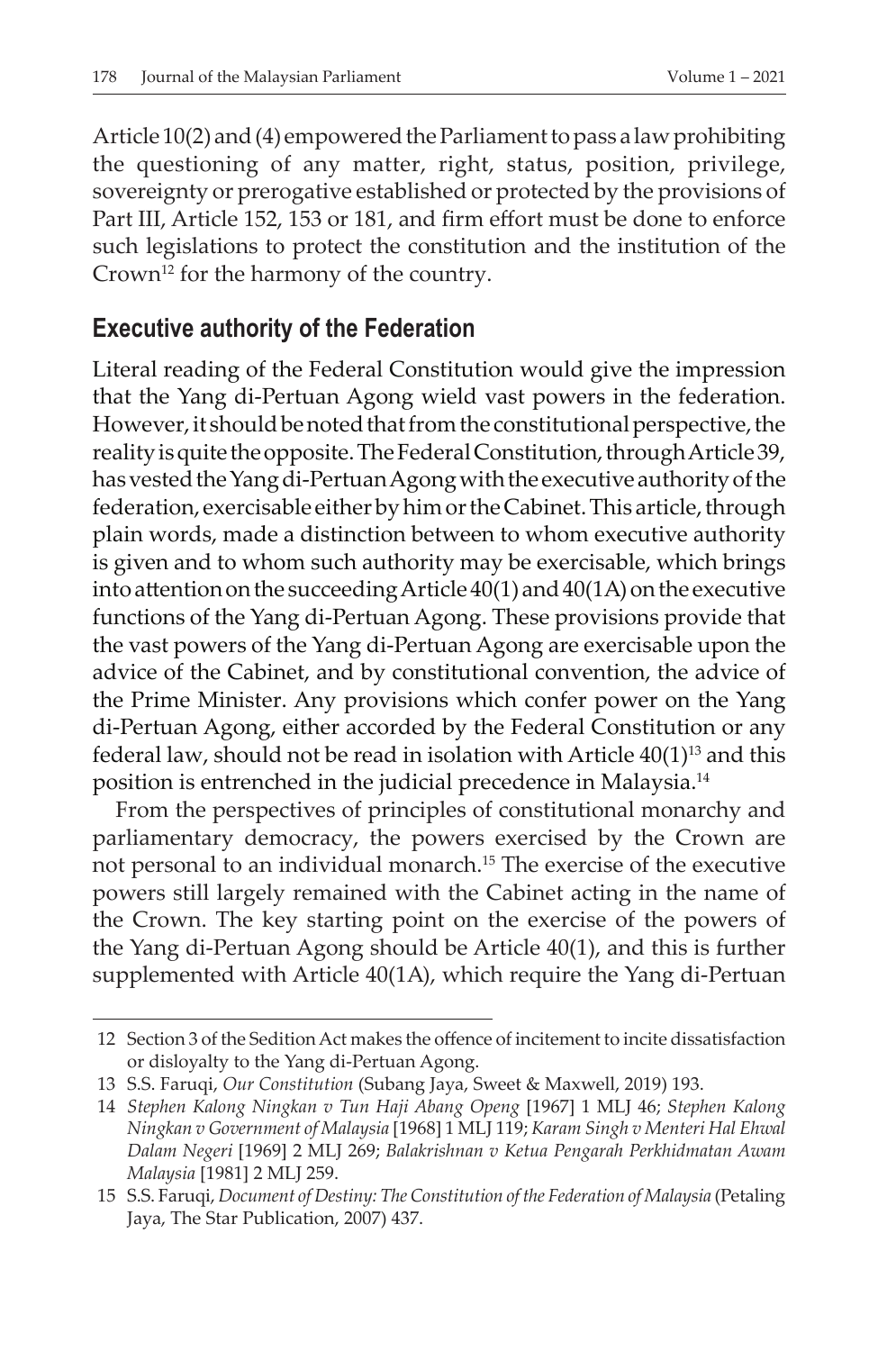Article 10(2) and (4) empowered the Parliament to pass a law prohibiting the questioning of any matter, right, status, position, privilege, sovereignty or prerogative established or protected by the provisions of Part III, Article 152, 153 or 181, and firm effort must be done to enforce such legislations to protect the constitution and the institution of the Crown<sup>12</sup> for the harmony of the country.

#### **Executive authority of the Federation**

Literal reading of the Federal Constitution would give the impression that the Yang di-Pertuan Agong wield vast powers in the federation. However, it should be noted that from the constitutional perspective, the reality is quite the opposite. The Federal Constitution, through Article 39, has vested the Yang di-Pertuan Agong with the executive authority of the federation, exercisable either by him or the Cabinet. This article, through plain words, made a distinction between to whom executive authority is given and to whom such authority may be exercisable, which brings into attention on the succeeding Article 40(1) and 40(1A) on the executive functions of the Yang di-Pertuan Agong. These provisions provide that the vast powers of the Yang di-Pertuan Agong are exercisable upon the advice of the Cabinet, and by constitutional convention, the advice of the Prime Minister. Any provisions which confer power on the Yang di-Pertuan Agong, either accorded by the Federal Constitution or any federal law, should not be read in isolation with Article  $40(1)^{13}$  and this position is entrenched in the judicial precedence in Malaysia.14

From the perspectives of principles of constitutional monarchy and parliamentary democracy, the powers exercised by the Crown are not personal to an individual monarch.15 The exercise of the executive powers still largely remained with the Cabinet acting in the name of the Crown. The key starting point on the exercise of the powers of the Yang di-Pertuan Agong should be Article 40(1), and this is further supplemented with Article 40(1A), which require the Yang di-Pertuan

<sup>12</sup> Section 3 of the Sedition Act makes the offence of incitement to incite dissatisfaction or disloyalty to the Yang di-Pertuan Agong.

<sup>13</sup> S.S. Faruqi, *Our Constitution* (Subang Jaya, Sweet & Maxwell, 2019) 193.

<sup>14</sup> *Stephen Kalong Ningkan v Tun Haji Abang Openg* [1967] 1 MLJ 46; *Stephen Kalong Ningkan v Government of Malaysia* [1968] 1 MLJ 119; *Karam Singh v Menteri Hal Ehwal Dalam Negeri* [1969] 2 MLJ 269; *Balakrishnan v Ketua Pengarah Perkhidmatan Awam Malaysia* [1981] 2 MLJ 259.

<sup>15</sup> S.S. Faruqi, *Document of Destiny: The Constitution of the Federation of Malaysia* (Petaling Jaya, The Star Publication, 2007) 437.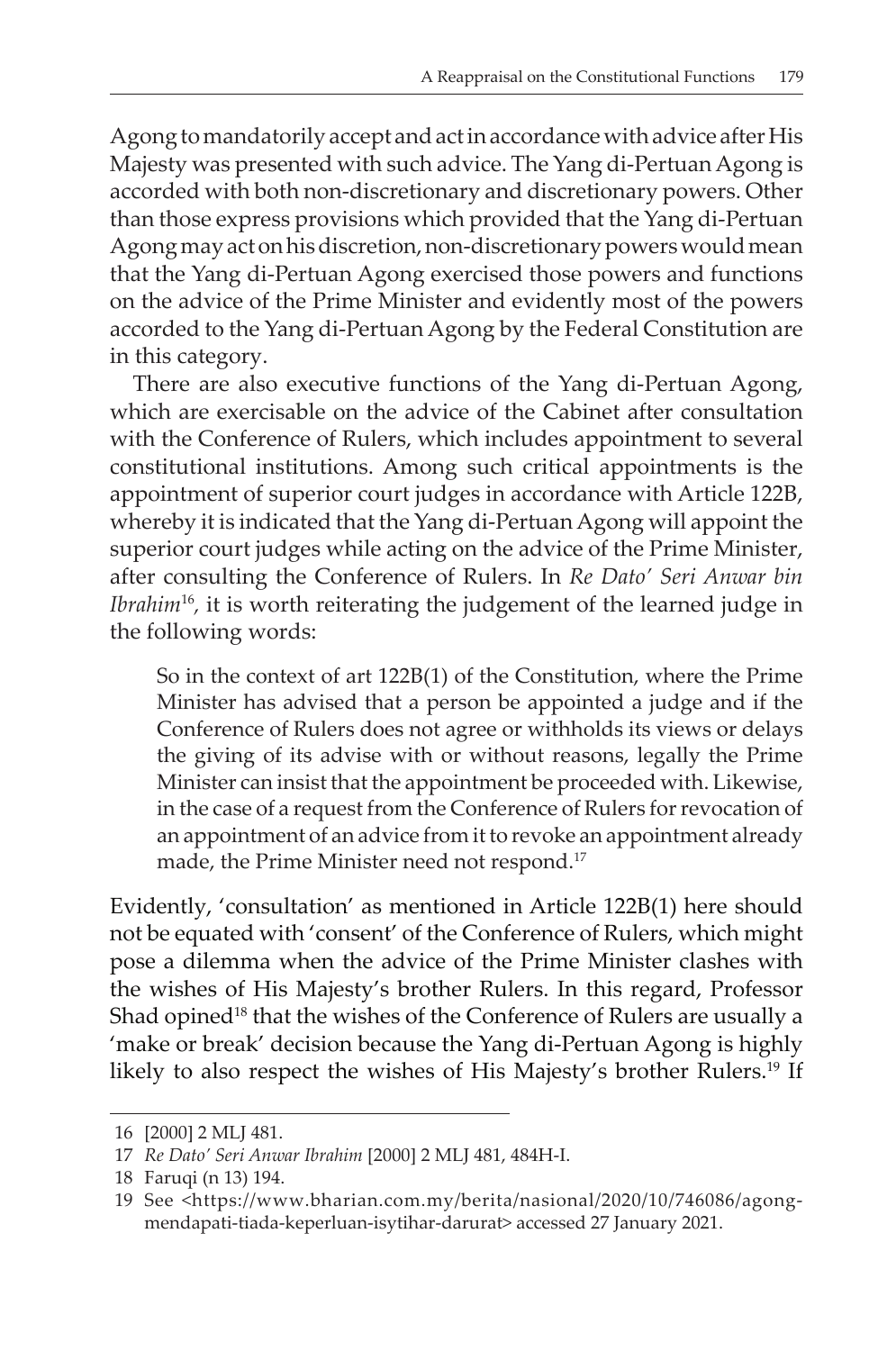Agong to mandatorily accept and act in accordance with advice after His Majesty was presented with such advice. The Yang di-Pertuan Agong is accorded with both non-discretionary and discretionary powers. Other than those express provisions which provided that the Yang di-Pertuan Agong may act on his discretion, non-discretionary powers would mean that the Yang di-Pertuan Agong exercised those powers and functions on the advice of the Prime Minister and evidently most of the powers accorded to the Yang di-Pertuan Agong by the Federal Constitution are in this category.

There are also executive functions of the Yang di-Pertuan Agong, which are exercisable on the advice of the Cabinet after consultation with the Conference of Rulers, which includes appointment to several constitutional institutions. Among such critical appointments is the appointment of superior court judges in accordance with Article 122B, whereby it is indicated that the Yang di-Pertuan Agong will appoint the superior court judges while acting on the advice of the Prime Minister, after consulting the Conference of Rulers. In *Re Dato' Seri Anwar bin Ibrahim*<sup>16</sup>, it is worth reiterating the judgement of the learned judge in the following words:

So in the context of art 122B(1) of the Constitution, where the Prime Minister has advised that a person be appointed a judge and if the Conference of Rulers does not agree or withholds its views or delays the giving of its advise with or without reasons, legally the Prime Minister can insist that the appointment be proceeded with. Likewise, in the case of a request from the Conference of Rulers for revocation of an appointment of an advice from it to revoke an appointment already made, the Prime Minister need not respond.<sup>17</sup>

Evidently, 'consultation' as mentioned in Article 122B(1) here should not be equated with 'consent' of the Conference of Rulers, which might pose a dilemma when the advice of the Prime Minister clashes with the wishes of His Majesty's brother Rulers. In this regard, Professor Shad opined<sup>18</sup> that the wishes of the Conference of Rulers are usually a 'make or break' decision because the Yang di-Pertuan Agong is highly likely to also respect the wishes of His Majesty's brother Rulers.19 If

<sup>16</sup> [2000] 2 MLJ 481.

<sup>17</sup> *Re Dato' Seri Anwar Ibrahim* [2000] 2 MLJ 481, 484H-I.

<sup>18</sup> Faruqi (n 13) 194.

<sup>19</sup> See <https://www.bharian.com.my/berita/nasional/2020/10/746086/agongmendapati-tiada-keperluan-isytihar-darurat> accessed 27 January 2021.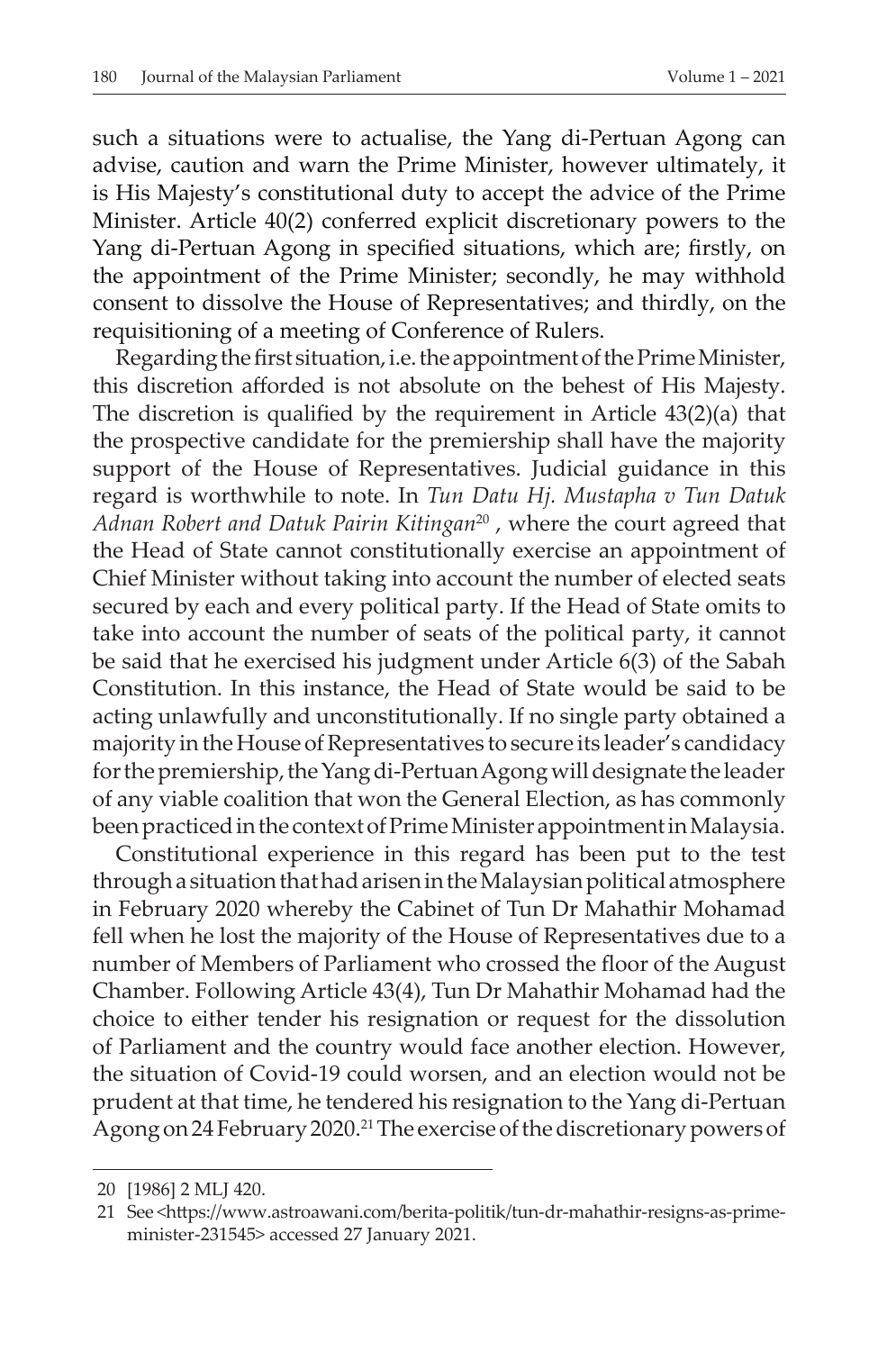such a situations were to actualise, the Yang di-Pertuan Agong can advise, caution and warn the Prime Minister, however ultimately, it is His Majesty's constitutional duty to accept the advice of the Prime Minister. Article 40(2) conferred explicit discretionary powers to the Yang di-Pertuan Agong in specified situations, which are; firstly, on the appointment of the Prime Minister; secondly, he may withhold consent to dissolve the House of Representatives; and thirdly, on the requisitioning of a meeting of Conference of Rulers.

Regarding the first situation, i.e. the appointment of the Prime Minister, this discretion afforded is not absolute on the behest of His Majesty. The discretion is qualified by the requirement in Article 43(2)(a) that the prospective candidate for the premiership shall have the majority support of the House of Representatives. Judicial guidance in this regard is worthwhile to note. In *Tun Datu Hj. Mustapha v Tun Datuk Adnan Robert and Datuk Pairin Kitingan*20 , where the court agreed that the Head of State cannot constitutionally exercise an appointment of Chief Minister without taking into account the number of elected seats secured by each and every political party. If the Head of State omits to take into account the number of seats of the political party, it cannot be said that he exercised his judgment under Article 6(3) of the Sabah Constitution. In this instance, the Head of State would be said to be acting unlawfully and unconstitutionally. If no single party obtained a majority in the House of Representatives to secure its leader's candidacy for the premiership, the Yang di-Pertuan Agong will designate the leader of any viable coalition that won the General Election, as has commonly been practiced in the context of Prime Minister appointment in Malaysia.

Constitutional experience in this regard has been put to the test through a situation that had arisen in the Malaysian political atmosphere in February 2020 whereby the Cabinet of Tun Dr Mahathir Mohamad fell when he lost the majority of the House of Representatives due to a number of Members of Parliament who crossed the floor of the August Chamber. Following Article 43(4), Tun Dr Mahathir Mohamad had the choice to either tender his resignation or request for the dissolution of Parliament and the country would face another election. However, the situation of Covid-19 could worsen, and an election would not be prudent at that time, he tendered his resignation to the Yang di-Pertuan Agong on 24 February 2020.21 The exercise of the discretionary powers of

<sup>20</sup> [1986] 2 MLJ 420.

<sup>21</sup> See <https://www.astroawani.com/berita-politik/tun-dr-mahathir-resigns-as-primeminister-231545> accessed 27 January 2021.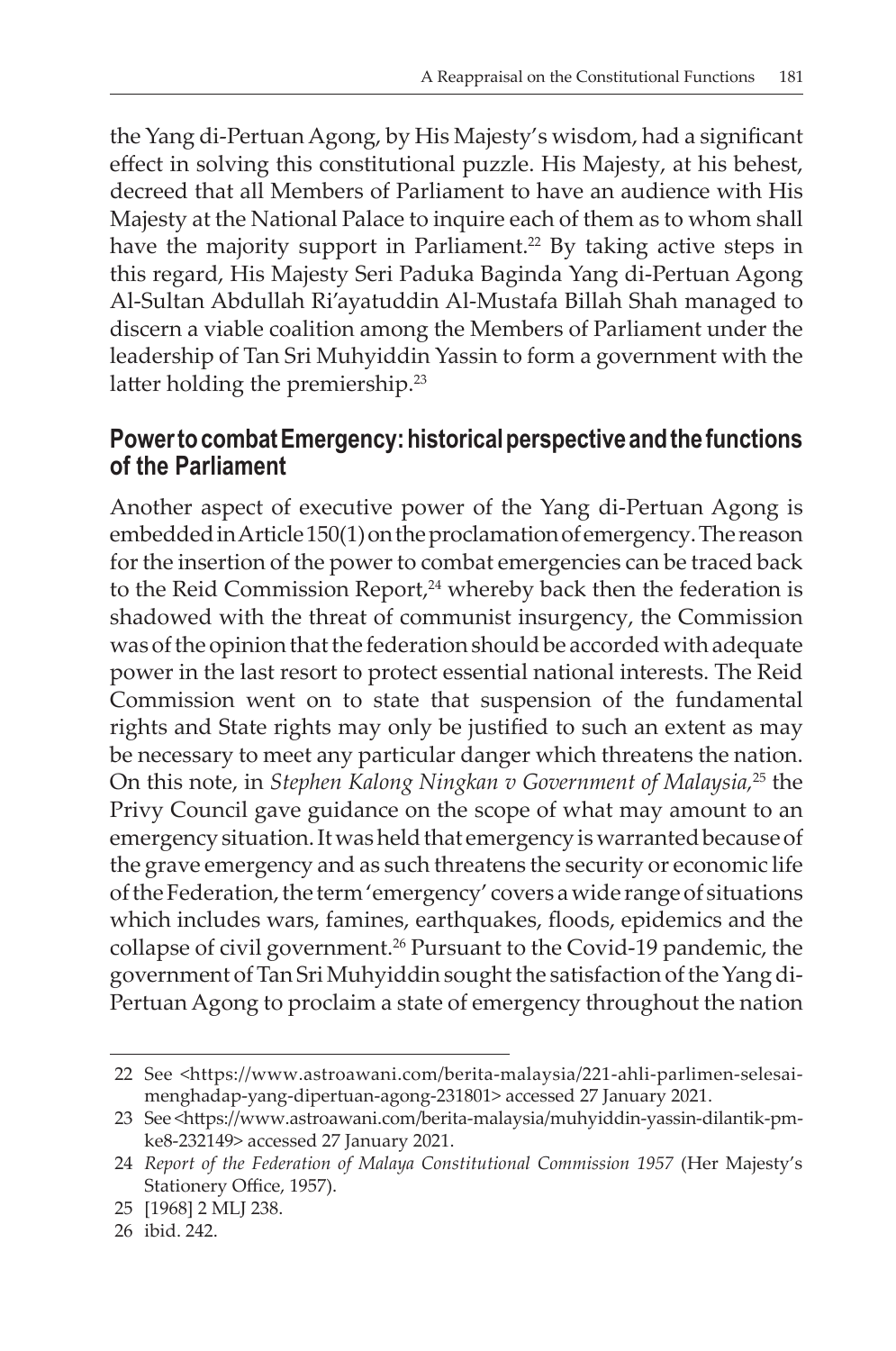the Yang di-Pertuan Agong, by His Majesty's wisdom, had a significant effect in solving this constitutional puzzle. His Majesty, at his behest, decreed that all Members of Parliament to have an audience with His Majesty at the National Palace to inquire each of them as to whom shall have the majority support in Parliament.<sup>22</sup> By taking active steps in this regard, His Majesty Seri Paduka Baginda Yang di-Pertuan Agong Al-Sultan Abdullah Ri'ayatuddin Al-Mustafa Billah Shah managed to discern a viable coalition among the Members of Parliament under the leadership of Tan Sri Muhyiddin Yassin to form a government with the latter holding the premiership.<sup>23</sup>

#### **Power to combat Emergency: historical perspective and the functions of the Parliament**

Another aspect of executive power of the Yang di-Pertuan Agong is embedded in Article 150(1) on the proclamation of emergency. The reason for the insertion of the power to combat emergencies can be traced back to the Reid Commission Report,<sup>24</sup> whereby back then the federation is shadowed with the threat of communist insurgency, the Commission was of the opinion that the federation should be accorded with adequate power in the last resort to protect essential national interests. The Reid Commission went on to state that suspension of the fundamental rights and State rights may only be justified to such an extent as may be necessary to meet any particular danger which threatens the nation. On this note, in *Stephen Kalong Ningkan v Government of Malaysia,*25 the Privy Council gave guidance on the scope of what may amount to an emergency situation. It was held that emergency is warranted because of the grave emergency and as such threatens the security or economic life of the Federation, the term 'emergency' covers a wide range of situations which includes wars, famines, earthquakes, floods, epidemics and the collapse of civil government.<sup>26</sup> Pursuant to the Covid-19 pandemic, the government of Tan Sri Muhyiddin sought the satisfaction of the Yang di-Pertuan Agong to proclaim a state of emergency throughout the nation

<sup>22</sup> See <https://www.astroawani.com/berita-malaysia/221-ahli-parlimen-selesaimenghadap-yang-dipertuan-agong-231801> accessed 27 January 2021.

<sup>23</sup> See <https://www.astroawani.com/berita-malaysia/muhyiddin-yassin-dilantik-pmke8-232149> accessed 27 January 2021.

<sup>24</sup> *Report of the Federation of Malaya Constitutional Commission 1957* (Her Majesty's Stationery Office, 1957).

<sup>25</sup> [1968] 2 MLJ 238.

<sup>26</sup> ibid. 242.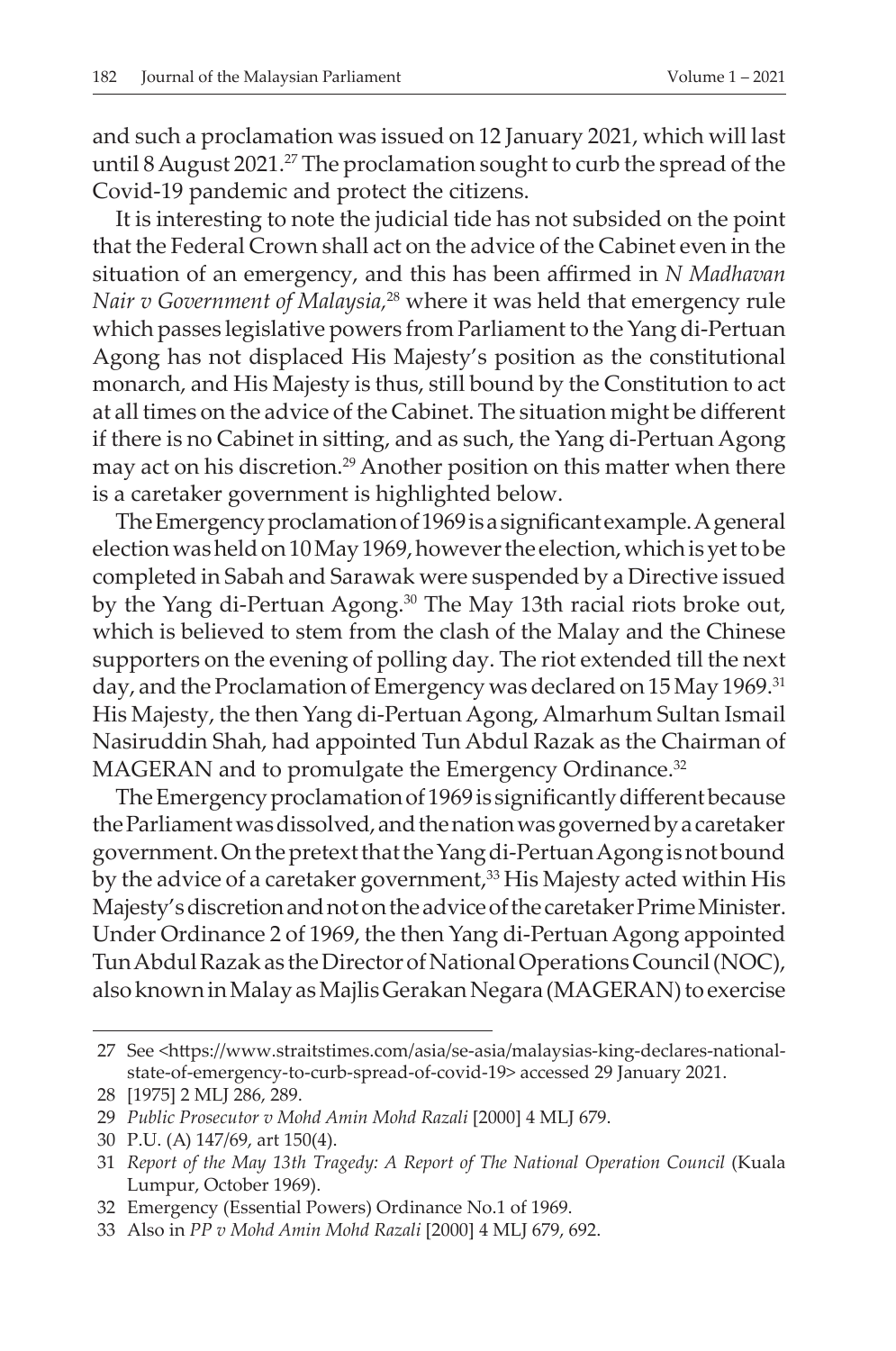and such a proclamation was issued on 12 January 2021, which will last until 8 August 2021.<sup>27</sup> The proclamation sought to curb the spread of the Covid-19 pandemic and protect the citizens.

It is interesting to note the judicial tide has not subsided on the point that the Federal Crown shall act on the advice of the Cabinet even in the situation of an emergency, and this has been affirmed in *N Madhavan Nair v Government of Malaysia,*<sup>28</sup> where it was held that emergency rule which passes legislative powers from Parliament to the Yang di-Pertuan Agong has not displaced His Majesty's position as the constitutional monarch, and His Majesty is thus, still bound by the Constitution to act at all times on the advice of the Cabinet. The situation might be different if there is no Cabinet in sitting, and as such, the Yang di-Pertuan Agong may act on his discretion.29 Another position on this matter when there is a caretaker government is highlighted below.

The Emergency proclamation of 1969 is a significant example. A general election was held on 10 May 1969, however the election, which is yet to be completed in Sabah and Sarawak were suspended by a Directive issued by the Yang di-Pertuan Agong.30 The May 13th racial riots broke out, which is believed to stem from the clash of the Malay and the Chinese supporters on the evening of polling day. The riot extended till the next day, and the Proclamation of Emergency was declared on 15 May 1969.<sup>31</sup> His Majesty, the then Yang di-Pertuan Agong, Almarhum Sultan Ismail Nasiruddin Shah, had appointed Tun Abdul Razak as the Chairman of MAGERAN and to promulgate the Emergency Ordinance.<sup>32</sup>

The Emergency proclamation of 1969 is significantly different because the Parliament was dissolved, and the nation was governed by a caretaker government. On the pretext that the Yang di-Pertuan Agong is not bound by the advice of a caretaker government,<sup>33</sup> His Majesty acted within His Majesty's discretion and not on the advice of the caretaker Prime Minister. Under Ordinance 2 of 1969, the then Yang di-Pertuan Agong appointed Tun Abdul Razak as the Director of National Operations Council (NOC), also known in Malay as Majlis Gerakan Negara (MAGERAN) to exercise

<sup>27</sup> See <https://www.straitstimes.com/asia/se-asia/malaysias-king-declares-nationalstate-of-emergency-to-curb-spread-of-covid-19> accessed 29 January 2021.

<sup>28</sup> [1975] 2 MLJ 286, 289.

<sup>29</sup> *Public Prosecutor v Mohd Amin Mohd Razali* [2000] 4 MLJ 679.

<sup>30</sup> P.U. (A) 147/69, art 150(4).

<sup>31</sup> *Report of the May 13th Tragedy: A Report of The National Operation Council* (Kuala Lumpur, October 1969).

<sup>32</sup> Emergency (Essential Powers) Ordinance No.1 of 1969.

<sup>33</sup> Also in *PP v Mohd Amin Mohd Razali* [2000] 4 MLJ 679, 692.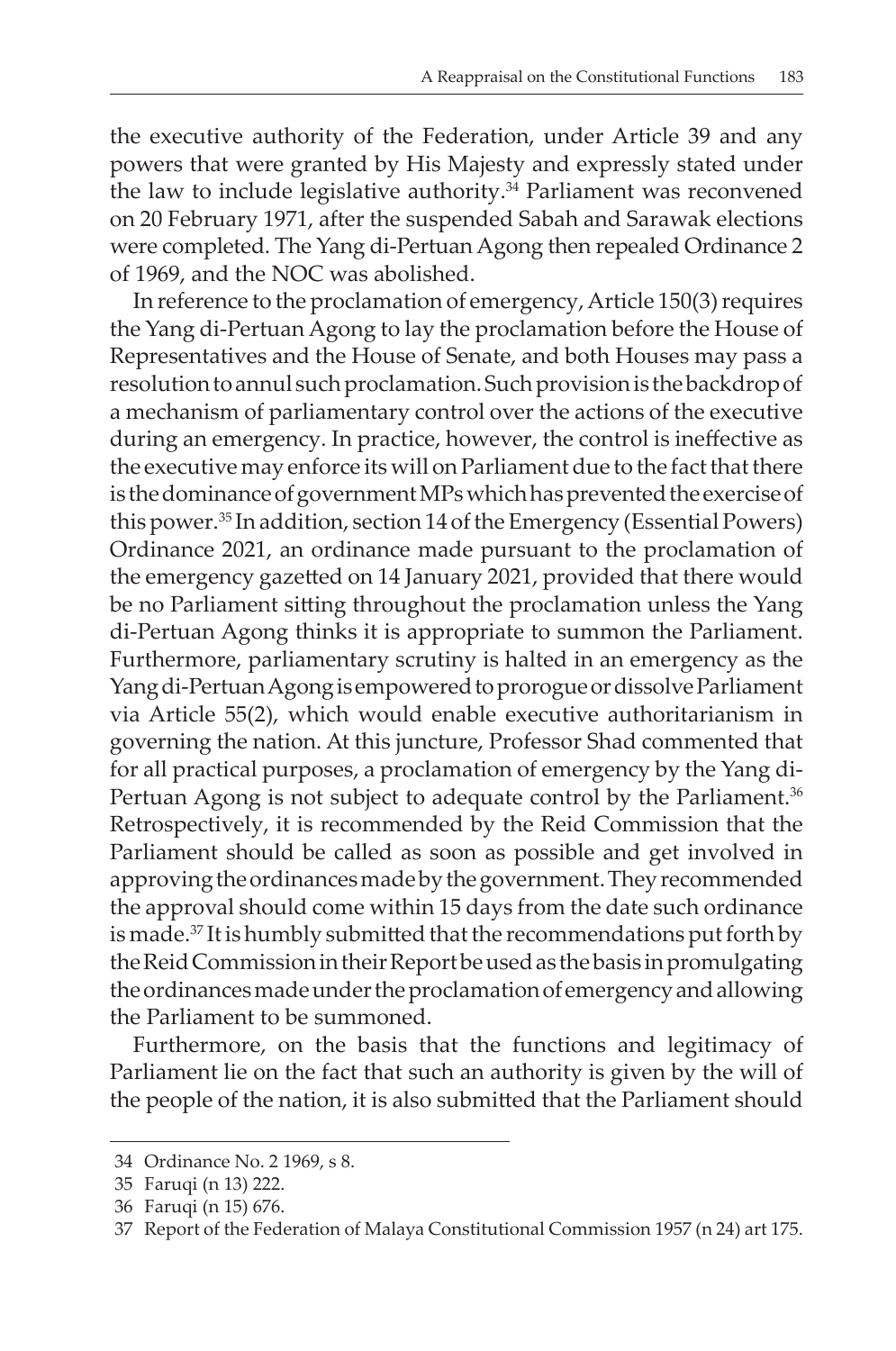the executive authority of the Federation, under Article 39 and any powers that were granted by His Majesty and expressly stated under the law to include legislative authority.<sup>34</sup> Parliament was reconvened on 20 February 1971, after the suspended Sabah and Sarawak elections were completed. The Yang di-Pertuan Agong then repealed Ordinance 2 of 1969, and the NOC was abolished.

In reference to the proclamation of emergency, Article 150(3) requires the Yang di-Pertuan Agong to lay the proclamation before the House of Representatives and the House of Senate, and both Houses may pass a resolution to annul such proclamation. Such provision is the backdrop of a mechanism of parliamentary control over the actions of the executive during an emergency. In practice, however, the control is ineffective as the executive may enforce its will on Parliament due to the fact that there is the dominance of government MPs which has prevented the exercise of this power.<sup>35</sup> In addition, section 14 of the Emergency (Essential Powers) Ordinance 2021, an ordinance made pursuant to the proclamation of the emergency gazetted on 14 January 2021, provided that there would be no Parliament sitting throughout the proclamation unless the Yang di-Pertuan Agong thinks it is appropriate to summon the Parliament. Furthermore, parliamentary scrutiny is halted in an emergency as the Yang di-Pertuan Agong is empowered to prorogue or dissolve Parliament via Article 55(2), which would enable executive authoritarianism in governing the nation. At this juncture, Professor Shad commented that for all practical purposes, a proclamation of emergency by the Yang di-Pertuan Agong is not subject to adequate control by the Parliament.<sup>36</sup> Retrospectively, it is recommended by the Reid Commission that the Parliament should be called as soon as possible and get involved in approving the ordinances made by the government. They recommended the approval should come within 15 days from the date such ordinance is made.<sup>37</sup> It is humbly submitted that the recommendations put forth by the Reid Commission in their Report be used as the basis in promulgating the ordinances made under the proclamation of emergency and allowing the Parliament to be summoned.

Furthermore, on the basis that the functions and legitimacy of Parliament lie on the fact that such an authority is given by the will of the people of the nation, it is also submitted that the Parliament should

<sup>34</sup> Ordinance No. 2 1969, s 8.

<sup>35</sup> Faruqi (n 13) 222.

<sup>36</sup> Faruqi (n 15) 676.

<sup>37</sup> Report of the Federation of Malaya Constitutional Commission 1957 (n 24) art 175.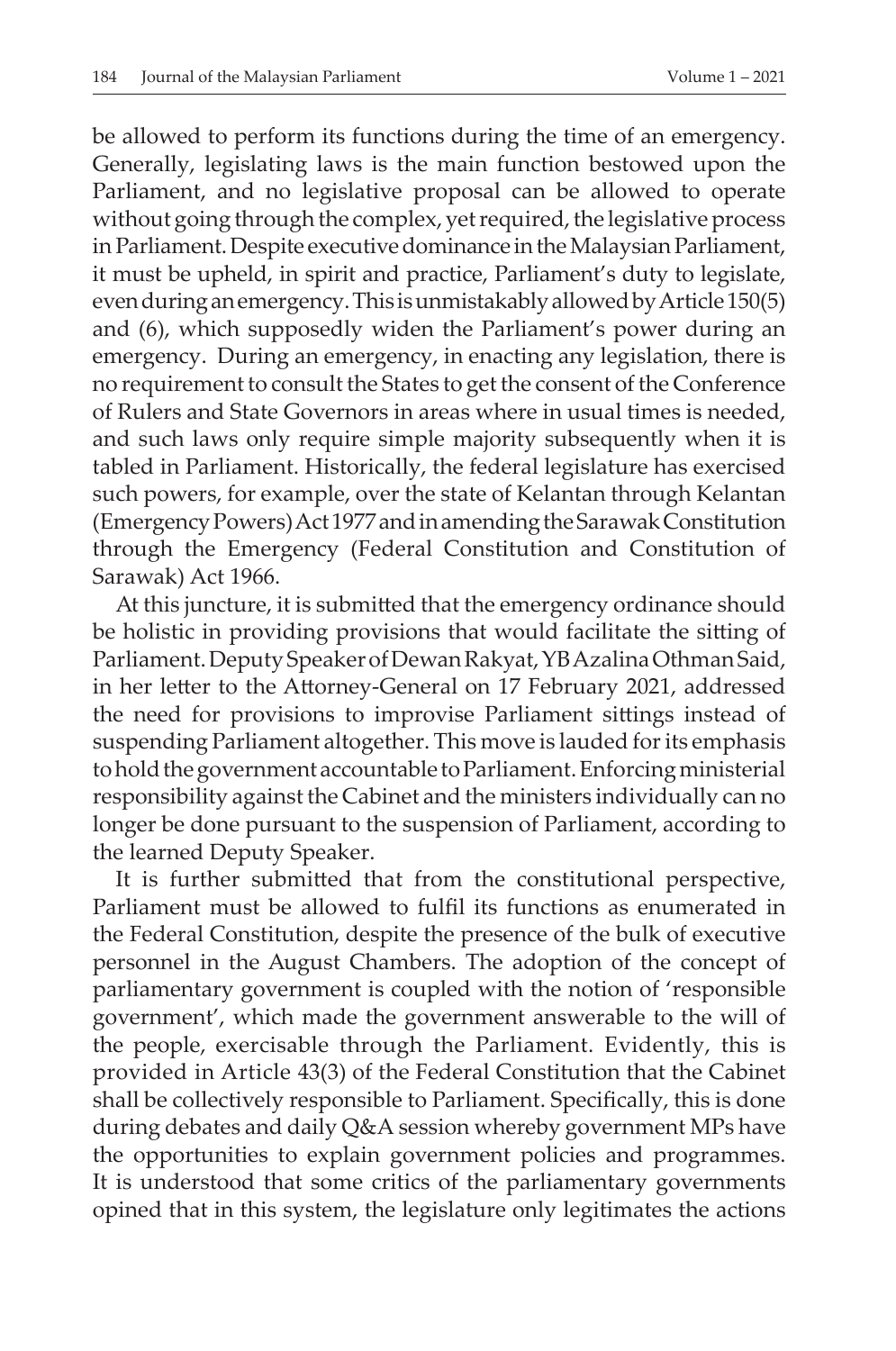be allowed to perform its functions during the time of an emergency. Generally, legislating laws is the main function bestowed upon the Parliament, and no legislative proposal can be allowed to operate without going through the complex, yet required, the legislative process in Parliament. Despite executive dominance in the Malaysian Parliament, it must be upheld, in spirit and practice, Parliament's duty to legislate, even during an emergency. This is unmistakably allowed by Article 150(5) and (6), which supposedly widen the Parliament's power during an emergency. During an emergency, in enacting any legislation, there is no requirement to consult the States to get the consent of the Conference of Rulers and State Governors in areas where in usual times is needed, and such laws only require simple majority subsequently when it is tabled in Parliament. Historically, the federal legislature has exercised such powers, for example, over the state of Kelantan through Kelantan (Emergency Powers) Act 1977 and in amending the Sarawak Constitution through the Emergency (Federal Constitution and Constitution of Sarawak) Act 1966.

At this juncture, it is submitted that the emergency ordinance should be holistic in providing provisions that would facilitate the sitting of Parliament. Deputy Speaker of Dewan Rakyat, YB Azalina Othman Said, in her letter to the Attorney-General on 17 February 2021, addressed the need for provisions to improvise Parliament sittings instead of suspending Parliament altogether. This move is lauded for its emphasis to hold the government accountable to Parliament. Enforcing ministerial responsibility against the Cabinet and the ministers individually can no longer be done pursuant to the suspension of Parliament, according to the learned Deputy Speaker.

It is further submitted that from the constitutional perspective, Parliament must be allowed to fulfil its functions as enumerated in the Federal Constitution, despite the presence of the bulk of executive personnel in the August Chambers. The adoption of the concept of parliamentary government is coupled with the notion of 'responsible government', which made the government answerable to the will of the people, exercisable through the Parliament. Evidently, this is provided in Article 43(3) of the Federal Constitution that the Cabinet shall be collectively responsible to Parliament. Specifically, this is done during debates and daily Q&A session whereby government MPs have the opportunities to explain government policies and programmes. It is understood that some critics of the parliamentary governments opined that in this system, the legislature only legitimates the actions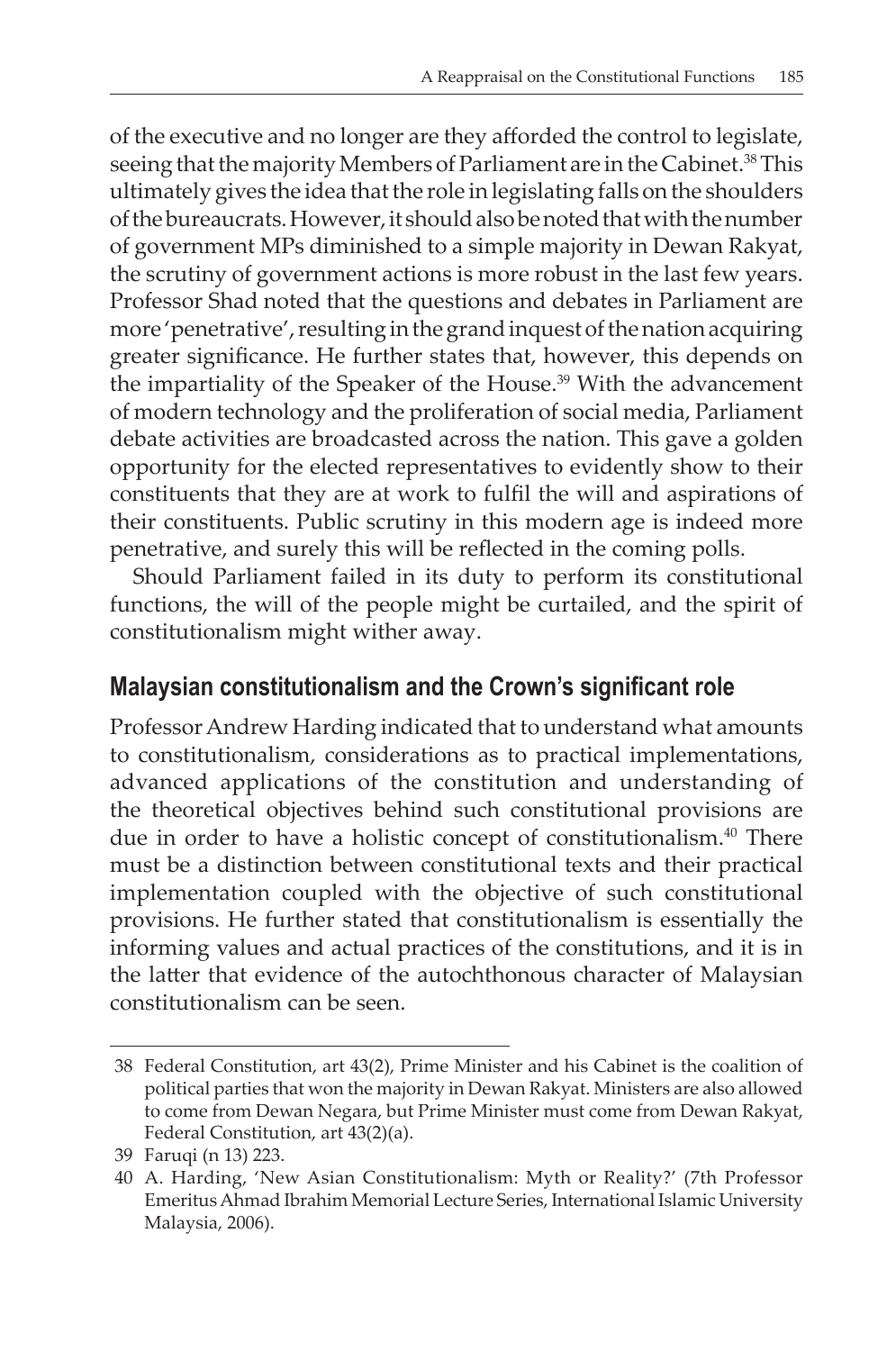of the executive and no longer are they afforded the control to legislate, seeing that the majority Members of Parliament are in the Cabinet.<sup>38</sup> This ultimately gives the idea that the role in legislating falls on the shoulders of the bureaucrats. However, it should also be noted that with the number of government MPs diminished to a simple majority in Dewan Rakyat, the scrutiny of government actions is more robust in the last few years. Professor Shad noted that the questions and debates in Parliament are more 'penetrative', resulting in the grand inquest of the nation acquiring greater significance. He further states that, however, this depends on the impartiality of the Speaker of the House.<sup>39</sup> With the advancement of modern technology and the proliferation of social media, Parliament debate activities are broadcasted across the nation. This gave a golden opportunity for the elected representatives to evidently show to their constituents that they are at work to fulfil the will and aspirations of their constituents. Public scrutiny in this modern age is indeed more penetrative, and surely this will be reflected in the coming polls.

Should Parliament failed in its duty to perform its constitutional functions, the will of the people might be curtailed, and the spirit of constitutionalism might wither away.

## **Malaysian constitutionalism and the Crown's significant role**

Professor Andrew Harding indicated that to understand what amounts to constitutionalism, considerations as to practical implementations, advanced applications of the constitution and understanding of the theoretical objectives behind such constitutional provisions are due in order to have a holistic concept of constitutionalism.<sup>40</sup> There must be a distinction between constitutional texts and their practical implementation coupled with the objective of such constitutional provisions. He further stated that constitutionalism is essentially the informing values and actual practices of the constitutions, and it is in the latter that evidence of the autochthonous character of Malaysian constitutionalism can be seen.

<sup>38</sup> Federal Constitution, art 43(2), Prime Minister and his Cabinet is the coalition of political parties that won the majority in Dewan Rakyat. Ministers are also allowed to come from Dewan Negara, but Prime Minister must come from Dewan Rakyat, Federal Constitution, art 43(2)(a).

<sup>39</sup> Faruqi (n 13) 223.

<sup>40</sup> A. Harding, 'New Asian Constitutionalism: Myth or Reality?' (7th Professor Emeritus Ahmad Ibrahim Memorial Lecture Series, International Islamic University Malaysia, 2006).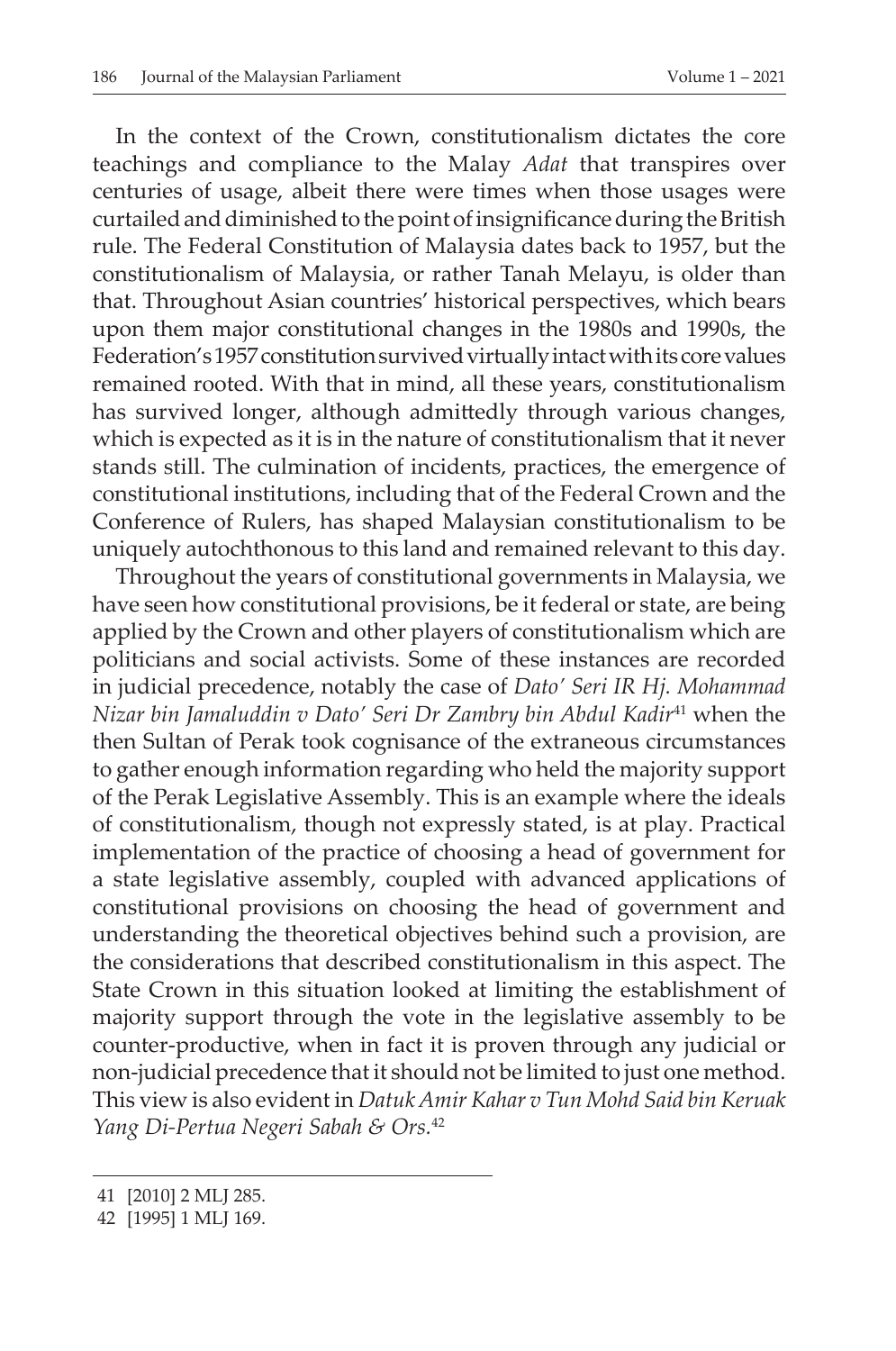In the context of the Crown, constitutionalism dictates the core teachings and compliance to the Malay *Adat* that transpires over centuries of usage, albeit there were times when those usages were curtailed and diminished to the point of insignificance during the British rule. The Federal Constitution of Malaysia dates back to 1957, but the constitutionalism of Malaysia, or rather Tanah Melayu, is older than that. Throughout Asian countries' historical perspectives, which bears upon them major constitutional changes in the 1980s and 1990s, the Federation's 1957 constitution survived virtually intact with its core values remained rooted. With that in mind, all these years, constitutionalism has survived longer, although admittedly through various changes, which is expected as it is in the nature of constitutionalism that it never stands still. The culmination of incidents, practices, the emergence of constitutional institutions, including that of the Federal Crown and the Conference of Rulers, has shaped Malaysian constitutionalism to be uniquely autochthonous to this land and remained relevant to this day.

Throughout the years of constitutional governments in Malaysia, we have seen how constitutional provisions, be it federal or state, are being applied by the Crown and other players of constitutionalism which are politicians and social activists. Some of these instances are recorded in judicial precedence, notably the case of *Dato' Seri IR Hj. Mohammad Nizar bin Jamaluddin v Dato' Seri Dr Zambry bin Abdul Kadir*<sup>41</sup> when the then Sultan of Perak took cognisance of the extraneous circumstances to gather enough information regarding who held the majority support of the Perak Legislative Assembly. This is an example where the ideals of constitutionalism, though not expressly stated, is at play. Practical implementation of the practice of choosing a head of government for a state legislative assembly, coupled with advanced applications of constitutional provisions on choosing the head of government and understanding the theoretical objectives behind such a provision, are the considerations that described constitutionalism in this aspect. The State Crown in this situation looked at limiting the establishment of majority support through the vote in the legislative assembly to be counter-productive, when in fact it is proven through any judicial or non-judicial precedence that it should not be limited to just one method. This view is also evident in *Datuk Amir Kahar v Tun Mohd Said bin Keruak Yang Di-Pertua Negeri Sabah & Ors.*<sup>42</sup>

<sup>41</sup> [2010] 2 MLJ 285.

<sup>42</sup> [1995] 1 MLJ 169.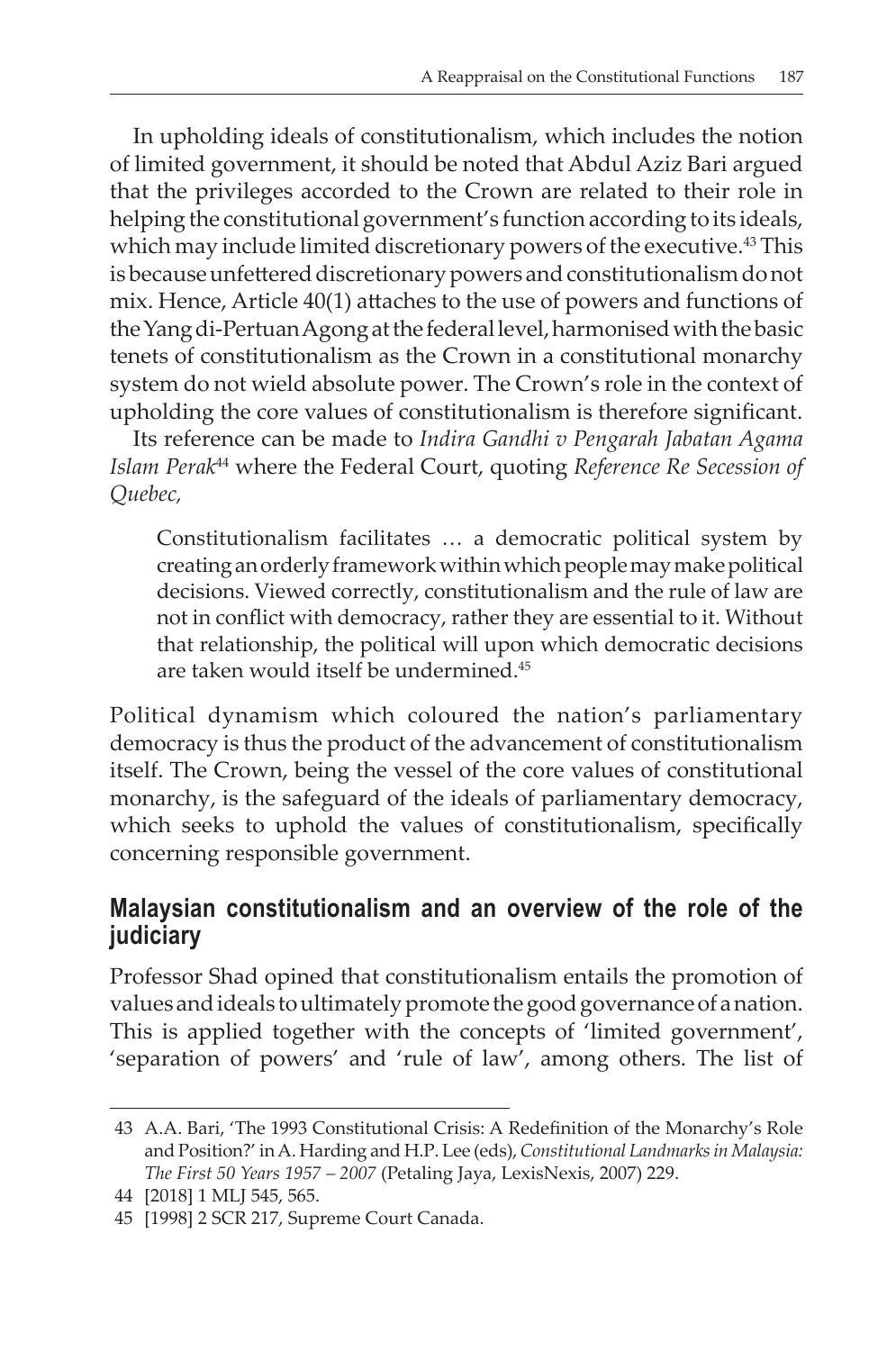In upholding ideals of constitutionalism, which includes the notion of limited government, it should be noted that Abdul Aziz Bari argued that the privileges accorded to the Crown are related to their role in helping the constitutional government's function according to its ideals, which may include limited discretionary powers of the executive.<sup>43</sup> This is because unfettered discretionary powers and constitutionalism donot mix. Hence, Article 40(1) attaches to the use of powers and functions of the Yang di-Pertuan Agong at the federal level, harmonised with the basic tenets of constitutionalism as the Crown in a constitutional monarchy system do not wield absolute power. The Crown's role in the context of upholding the core values of constitutionalism is therefore significant.

Its reference can be made to *Indira Gandhi v Pengarah Jabatan Agama Islam Perak*44 where the Federal Court, quoting *Reference Re Secession of Quebec,*

Constitutionalism facilitates … a democratic political system by creating an orderly framework within which people may make political decisions. Viewed correctly, constitutionalism and the rule of law are not in conflict with democracy, rather they are essential to it. Without that relationship, the political will upon which democratic decisions are taken would itself be undermined.45

Political dynamism which coloured the nation's parliamentary democracy is thus the product of the advancement of constitutionalism itself. The Crown, being the vessel of the core values of constitutional monarchy, is the safeguard of the ideals of parliamentary democracy, which seeks to uphold the values of constitutionalism, specifically concerning responsible government.

## **Malaysian constitutionalism and an overview of the role of the judiciary**

Professor Shad opined that constitutionalism entails the promotion of values and ideals to ultimately promote the good governance of a nation. This is applied together with the concepts of 'limited government', 'separation of powers' and 'rule of law', among others. The list of

<sup>43</sup> A.A. Bari, 'The 1993 Constitutional Crisis: A Redefinition of the Monarchy's Role and Position?' in A. Harding and H.P. Lee (eds), *Constitutional Landmarks in Malaysia: The First 50 Years 1957 – 2007* (Petaling Jaya, LexisNexis, 2007) 229.

<sup>44</sup> [2018] 1 MLJ 545, 565.

<sup>45</sup> [1998] 2 SCR 217, Supreme Court Canada.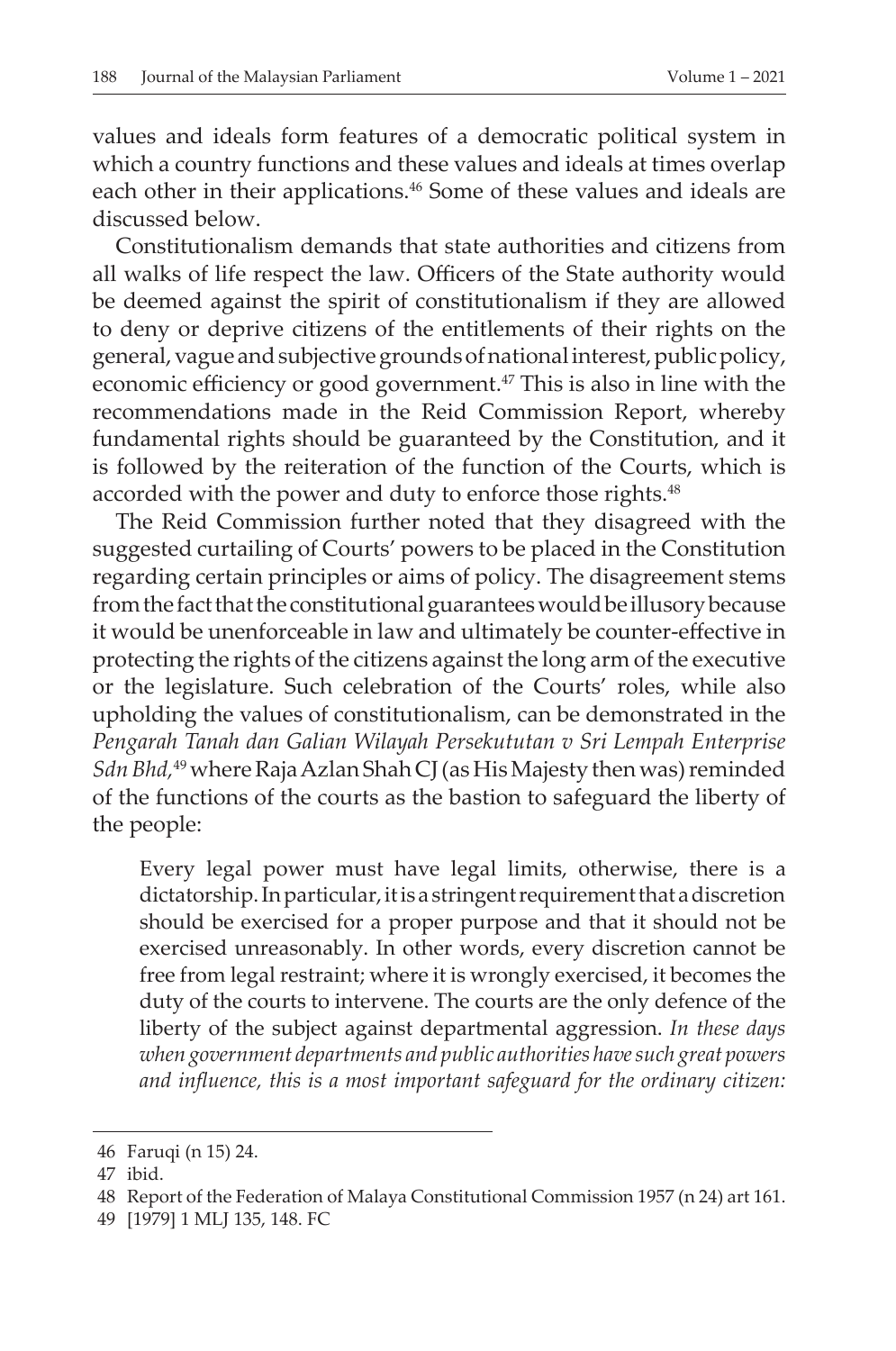values and ideals form features of a democratic political system in which a country functions and these values and ideals at times overlap each other in their applications.<sup>46</sup> Some of these values and ideals are discussed below.

Constitutionalism demands that state authorities and citizens from all walks of life respect the law. Officers of the State authority would be deemed against the spirit of constitutionalism if they are allowed to deny or deprive citizens of the entitlements of their rights on the general, vague and subjective grounds of national interest, public policy, economic efficiency or good government.47 This is also in line with the recommendations made in the Reid Commission Report, whereby fundamental rights should be guaranteed by the Constitution, and it is followed by the reiteration of the function of the Courts, which is accorded with the power and duty to enforce those rights.<sup>48</sup>

The Reid Commission further noted that they disagreed with the suggested curtailing of Courts' powers to be placed in the Constitution regarding certain principles or aims of policy. The disagreement stems from the fact that the constitutional guarantees would be illusory because it would be unenforceable in law and ultimately be counter-effective in protecting the rights of the citizens against the long arm of the executive or the legislature. Such celebration of the Courts' roles, while also upholding the values of constitutionalism, can be demonstrated in the *Pengarah Tanah dan Galian Wilayah Persekututan v Sri Lempah Enterprise*  Sdn Bhd,<sup>49</sup> where Raja Azlan Shah CJ (as His Majesty then was) reminded of the functions of the courts as the bastion to safeguard the liberty of the people:

Every legal power must have legal limits, otherwise, there is a dictatorship. In particular, it is a stringent requirement that a discretion should be exercised for a proper purpose and that it should not be exercised unreasonably. In other words, every discretion cannot be free from legal restraint; where it is wrongly exercised, it becomes the duty of the courts to intervene. The courts are the only defence of the liberty of the subject against departmental aggression. *In these days when government departments and public authorities have such great powers and influence, this is a most important safeguard for the ordinary citizen:* 

<sup>46</sup> Faruqi (n 15) 24.

<sup>47</sup> ibid.

<sup>48</sup> Report of the Federation of Malaya Constitutional Commission 1957 (n 24) art 161.

<sup>49</sup> [1979] 1 MLJ 135, 148. FC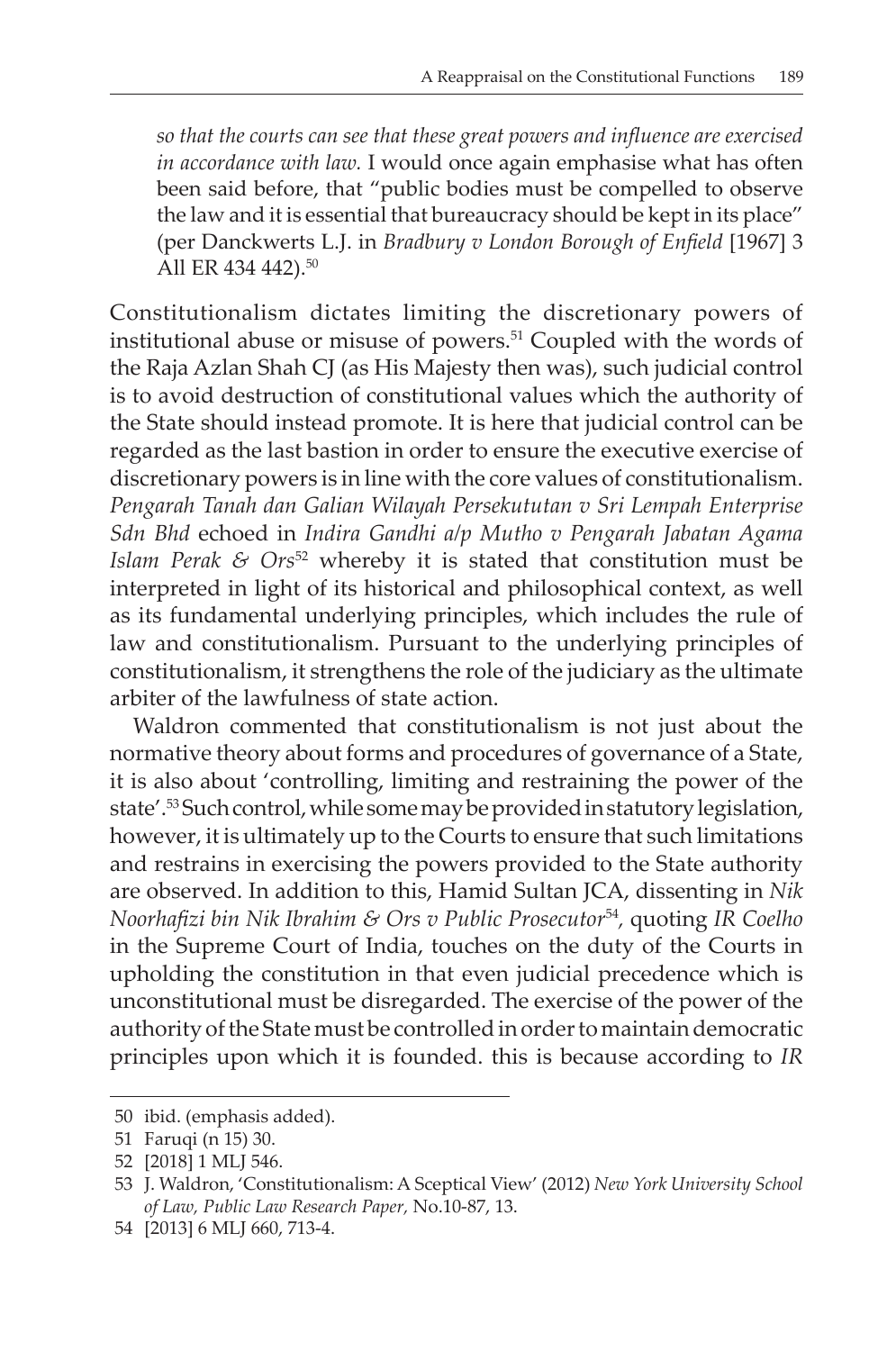*so that the courts can see that these great powers and influence are exercised in accordance with law.* I would once again emphasise what has often been said before, that "public bodies must be compelled to observe the law and it is essential that bureaucracy should be kept in its place" (per Danckwerts L.J. in *Bradbury v London Borough of Enfield* [1967] 3 All ER 434 442).<sup>50</sup>

Constitutionalism dictates limiting the discretionary powers of institutional abuse or misuse of powers.<sup>51</sup> Coupled with the words of the Raja Azlan Shah CJ (as His Majesty then was), such judicial control is to avoid destruction of constitutional values which the authority of the State should instead promote. It is here that judicial control can be regarded as the last bastion in order to ensure the executive exercise of discretionary powers is in line with the core values of constitutionalism. *Pengarah Tanah dan Galian Wilayah Persekututan v Sri Lempah Enterprise Sdn Bhd* echoed in *Indira Gandhi a/p Mutho v Pengarah Jabatan Agama Islam Perak & Ors<sup>52</sup>* whereby it is stated that constitution must be interpreted in light of its historical and philosophical context, as well as its fundamental underlying principles, which includes the rule of law and constitutionalism. Pursuant to the underlying principles of constitutionalism, it strengthens the role of the judiciary as the ultimate arbiter of the lawfulness of state action.

Waldron commented that constitutionalism is not just about the normative theory about forms and procedures of governance of a State, it is also about 'controlling, limiting and restraining the power of the state'.53 Such control, while some may be provided in statutory legislation, however, it is ultimately up to the Courts to ensure that such limitations and restrains in exercising the powers provided to the State authority are observed. In addition to this, Hamid Sultan JCA, dissenting in *Nik Noorhafizi bin Nik Ibrahim & Ors v Public Prosecutor*<sup>54</sup>*,* quoting *IR Coelho* in the Supreme Court of India, touches on the duty of the Courts in upholding the constitution in that even judicial precedence which is unconstitutional must be disregarded. The exercise of the power of the authority of the State must be controlled in order to maintain democratic principles upon which it is founded. this is because according to *IR* 

<sup>50</sup> ibid. (emphasis added).

<sup>51</sup> Faruqi (n 15) 30.

<sup>52</sup> [2018] 1 MLJ 546.

<sup>53</sup> J. Waldron, 'Constitutionalism: A Sceptical View' (2012) *New York University School of Law, Public Law Research Paper,* No.10-87, 13.

<sup>54</sup> [2013] 6 MLJ 660, 713-4.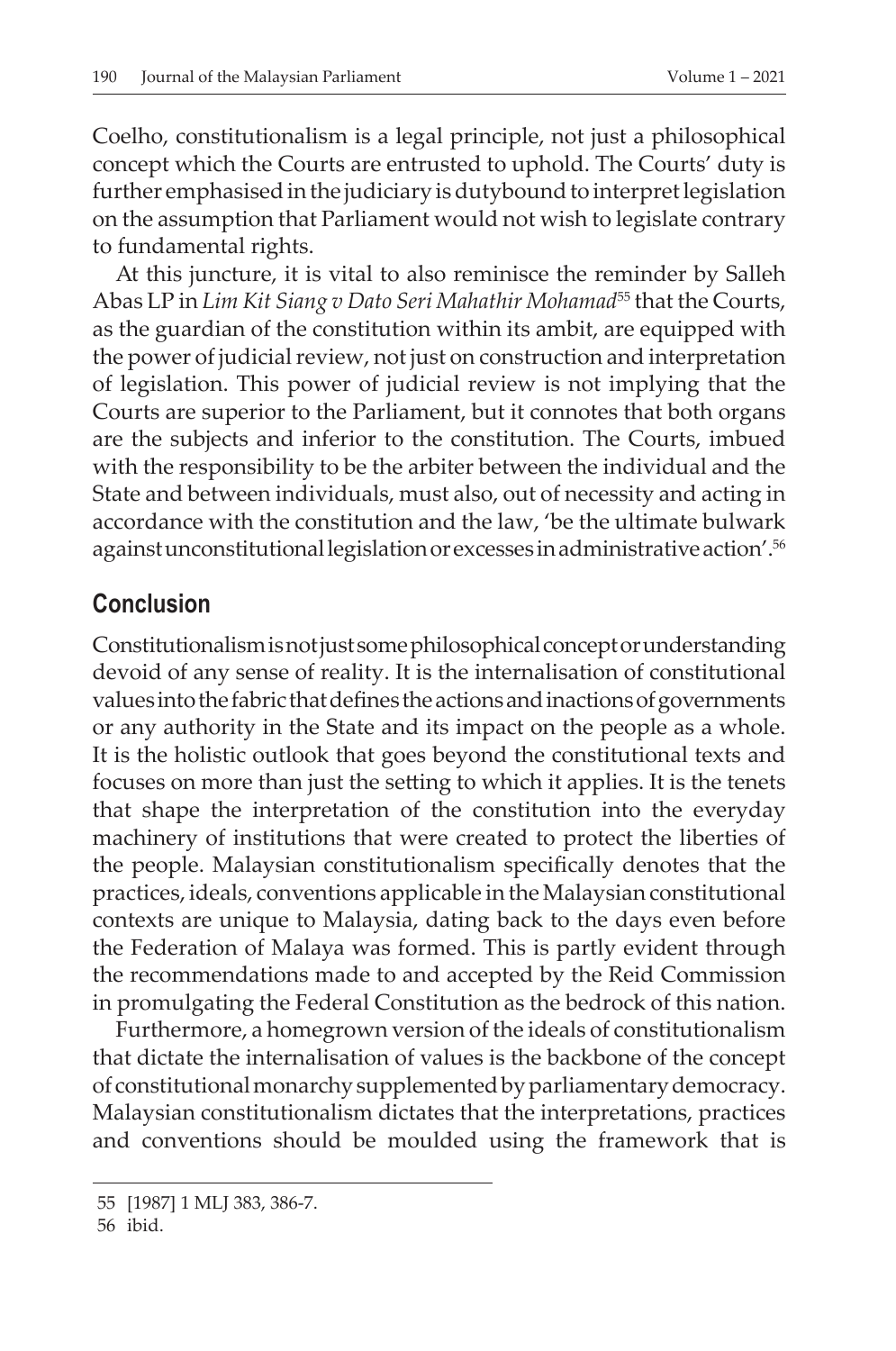Coelho, constitutionalism is a legal principle, not just a philosophical concept which the Courts are entrusted to uphold. The Courts' duty is further emphasised in the judiciary is dutybound to interpret legislation on the assumption that Parliament would not wish to legislate contrary to fundamental rights.

At this juncture, it is vital to also reminisce the reminder by Salleh Abas LP in *Lim Kit Siang v Dato Seri Mahathir Mohamad*55 that the Courts, as the guardian of the constitution within its ambit, are equipped with the power of judicial review, not just on construction and interpretation of legislation. This power of judicial review is not implying that the Courts are superior to the Parliament, but it connotes that both organs are the subjects and inferior to the constitution. The Courts, imbued with the responsibility to be the arbiter between the individual and the State and between individuals, must also, out of necessity and acting in accordance with the constitution and the law, 'be the ultimate bulwark against unconstitutional legislation or excesses in administrative action'.56

### **Conclusion**

Constitutionalism is not just some philosophical concept or understanding devoid of any sense of reality. It is the internalisation of constitutional values into the fabric that defines the actions and inactions of governments or any authority in the State and its impact on the people as a whole. It is the holistic outlook that goes beyond the constitutional texts and focuses on more than just the setting to which it applies. It is the tenets that shape the interpretation of the constitution into the everyday machinery of institutions that were created to protect the liberties of the people. Malaysian constitutionalism specifically denotes that the practices, ideals, conventions applicable in the Malaysian constitutional contexts are unique to Malaysia, dating back to the days even before the Federation of Malaya was formed. This is partly evident through the recommendations made to and accepted by the Reid Commission in promulgating the Federal Constitution as the bedrock of this nation.

Furthermore, a homegrown version of the ideals of constitutionalism that dictate the internalisation of values is the backbone of the concept of constitutional monarchy supplemented by parliamentary democracy. Malaysian constitutionalism dictates that the interpretations, practices and conventions should be moulded using the framework that is

<sup>55</sup> [1987] 1 MLJ 383, 386-7.

<sup>56</sup> ibid.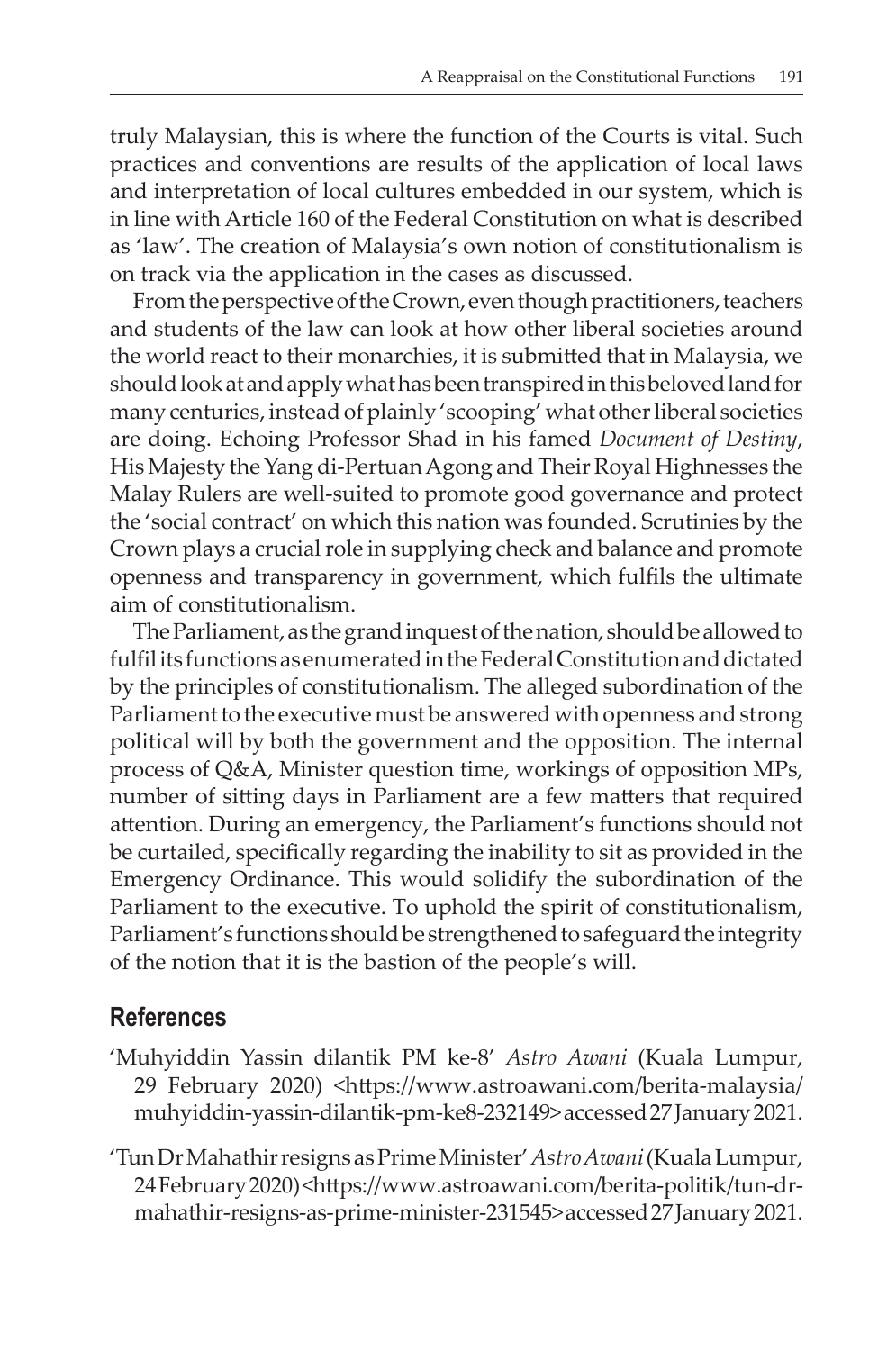truly Malaysian, this is where the function of the Courts is vital. Such practices and conventions are results of the application of local laws and interpretation of local cultures embedded in our system, which is in line with Article 160 of the Federal Constitution on what is described as 'law'. The creation of Malaysia's own notion of constitutionalism is on track via the application in the cases as discussed.

From the perspective of the Crown, even though practitioners, teachers and students of the law can look at how other liberal societies around the world react to their monarchies, it is submitted that in Malaysia, we should look at and apply what has been transpired in this beloved land for many centuries, instead of plainly 'scooping' what other liberal societies are doing. Echoing Professor Shad in his famed *Document of Destiny*, His Majesty the Yang di-Pertuan Agong and Their Royal Highnesses the Malay Rulers are well-suited to promote good governance and protect the 'social contract' on which this nation was founded. Scrutinies by the Crown plays a crucial role in supplying check and balance and promote openness and transparency in government, which fulfils the ultimate aim of constitutionalism.

The Parliament, as the grand inquest of the nation, should be allowed to fulfilits functions as enumerated in the Federal Constitution and dictated by the principles of constitutionalism. The alleged subordination of the Parliament to the executive must be answered with openness and strong political will by both the government and the opposition. The internal process of Q&A, Minister question time, workings of opposition MPs, number of sitting days in Parliament are a few matters that required attention. During an emergency, the Parliament's functions should not be curtailed, specifically regarding the inability to sit as provided in the Emergency Ordinance. This would solidify the subordination of the Parliament to the executive. To uphold the spirit of constitutionalism, Parliament's functions should be strengthened to safeguard the integrity of the notion that it is the bastion of the people's will.

#### **References**

- 'Muhyiddin Yassin dilantik PM ke-8' *Astro Awani* (Kuala Lumpur, 29 February 2020) <https://www.astroawani.com/berita-malaysia/ muhyiddin-yassin-dilantik-pm-ke8-232149>accessed27January2021.
- 'Tun Dr Mahathir resigns as Prime Minister' *Astro Awani* (Kuala Lumpur, 24February2020)<https://www.astroawani.com/berita-politik/tun-drmahathir-resigns-as-prime-minister-231545>accessed27January2021.